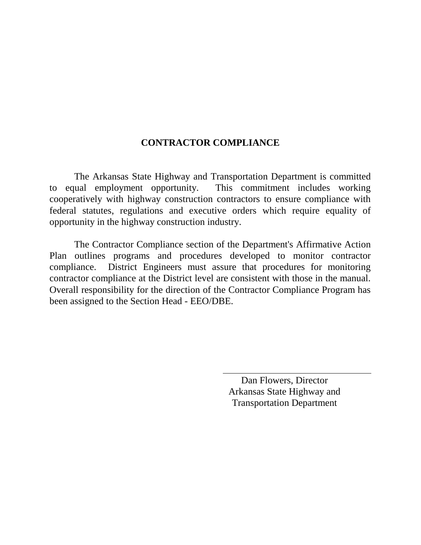## **CONTRACTOR COMPLIANCE**

The Arkansas State Highway and Transportation Department is committed to equal employment opportunity. This commitment includes working cooperatively with highway construction contractors to ensure compliance with federal statutes, regulations and executive orders which require equality of opportunity in the highway construction industry.

The Contractor Compliance section of the Department's Affirmative Action Plan outlines programs and procedures developed to monitor contractor compliance. District Engineers must assure that procedures for monitoring contractor compliance at the District level are consistent with those in the manual. Overall responsibility for the direction of the Contractor Compliance Program has been assigned to the Section Head - EEO/DBE.

> Dan Flowers, Director Arkansas State Highway and Transportation Department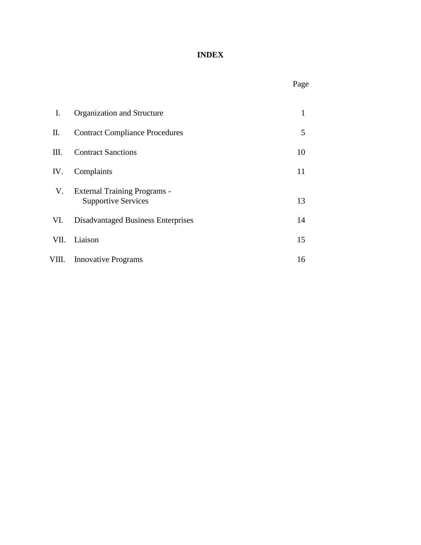# **INDEX**

# Page

| Ι.    | Organization and Structure                                        | 1  |
|-------|-------------------------------------------------------------------|----|
| П.    | <b>Contract Compliance Procedures</b>                             | 5  |
| Ш.    | <b>Contract Sanctions</b>                                         | 10 |
| IV.   | Complaints                                                        | 11 |
| V.    | <b>External Training Programs -</b><br><b>Supportive Services</b> | 13 |
| VI.   | <b>Disadvantaged Business Enterprises</b>                         | 14 |
| VII.  | Liaison                                                           | 15 |
| VIII. | <b>Innovative Programs</b>                                        | 16 |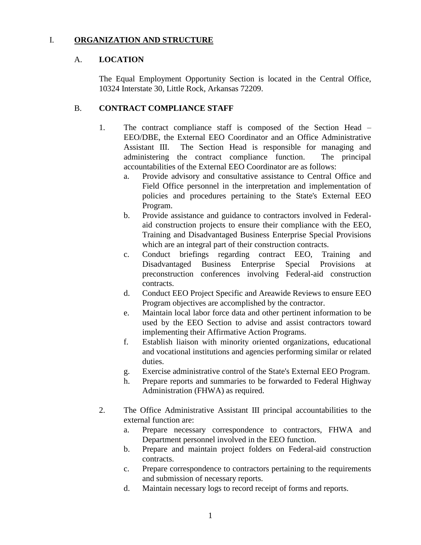## I. **ORGANIZATION AND STRUCTURE**

## A. **LOCATION**

The Equal Employment Opportunity Section is located in the Central Office, 10324 Interstate 30, Little Rock, Arkansas 72209.

## B. **CONTRACT COMPLIANCE STAFF**

- 1. The contract compliance staff is composed of the Section Head EEO/DBE, the External EEO Coordinator and an Office Administrative Assistant III. The Section Head is responsible for managing and administering the contract compliance function. The principal accountabilities of the External EEO Coordinator are as follows:
	- a. Provide advisory and consultative assistance to Central Office and Field Office personnel in the interpretation and implementation of policies and procedures pertaining to the State's External EEO Program.
	- b. Provide assistance and guidance to contractors involved in Federalaid construction projects to ensure their compliance with the EEO, Training and Disadvantaged Business Enterprise Special Provisions which are an integral part of their construction contracts.
	- c. Conduct briefings regarding contract EEO, Training and Disadvantaged Business Enterprise Special Provisions at preconstruction conferences involving Federal-aid construction contracts.
	- d. Conduct EEO Project Specific and Areawide Reviews to ensure EEO Program objectives are accomplished by the contractor.
	- e. Maintain local labor force data and other pertinent information to be used by the EEO Section to advise and assist contractors toward implementing their Affirmative Action Programs.
	- f. Establish liaison with minority oriented organizations, educational and vocational institutions and agencies performing similar or related duties.
	- g. Exercise administrative control of the State's External EEO Program.
	- h. Prepare reports and summaries to be forwarded to Federal Highway Administration (FHWA) as required.
- 2. The Office Administrative Assistant III principal accountabilities to the external function are:
	- a. Prepare necessary correspondence to contractors, FHWA and Department personnel involved in the EEO function.
	- b. Prepare and maintain project folders on Federal-aid construction contracts.
	- c. Prepare correspondence to contractors pertaining to the requirements and submission of necessary reports.
	- d. Maintain necessary logs to record receipt of forms and reports.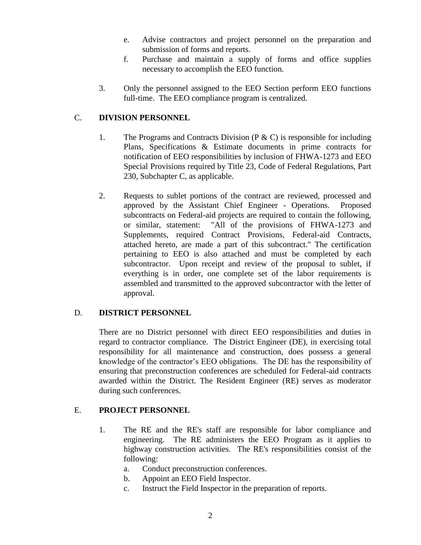- e. Advise contractors and project personnel on the preparation and submission of forms and reports.
- f. Purchase and maintain a supply of forms and office supplies necessary to accomplish the EEO function.
- 3. Only the personnel assigned to the EEO Section perform EEO functions full-time. The EEO compliance program is centralized.

## C. **DIVISION PERSONNEL**

- 1. The Programs and Contracts Division (P  $\&$  C) is responsible for including Plans, Specifications & Estimate documents in prime contracts for notification of EEO responsibilities by inclusion of FHWA-1273 and EEO Special Provisions required by Title 23, Code of Federal Regulations, Part 230, Subchapter C, as applicable.
- 2. Requests to sublet portions of the contract are reviewed, processed and approved by the Assistant Chief Engineer - Operations. Proposed subcontracts on Federal-aid projects are required to contain the following, or similar, statement: "All of the provisions of FHWA-1273 and Supplements, required Contract Provisions, Federal-aid Contracts, attached hereto, are made a part of this subcontract." The certification pertaining to EEO is also attached and must be completed by each subcontractor. Upon receipt and review of the proposal to sublet, if everything is in order, one complete set of the labor requirements is assembled and transmitted to the approved subcontractor with the letter of approval.

#### D. **DISTRICT PERSONNEL**

There are no District personnel with direct EEO responsibilities and duties in regard to contractor compliance. The District Engineer (DE), in exercising total responsibility for all maintenance and construction, does possess a general knowledge of the contractor's EEO obligations. The DE has the responsibility of ensuring that preconstruction conferences are scheduled for Federal-aid contracts awarded within the District. The Resident Engineer (RE) serves as moderator during such conferences.

#### E. **PROJECT PERSONNEL**

- 1. The RE and the RE's staff are responsible for labor compliance and engineering. The RE administers the EEO Program as it applies to highway construction activities. The RE's responsibilities consist of the following:
	- a. Conduct preconstruction conferences.
	- b. Appoint an EEO Field Inspector.
	- c. Instruct the Field Inspector in the preparation of reports.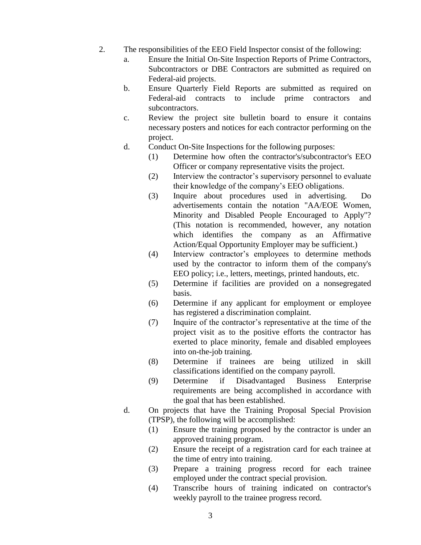- 2. The responsibilities of the EEO Field Inspector consist of the following:
	- a. Ensure the Initial On-Site Inspection Reports of Prime Contractors, Subcontractors or DBE Contractors are submitted as required on Federal-aid projects.
	- b. Ensure Quarterly Field Reports are submitted as required on Federal-aid contracts to include prime contractors and subcontractors.
	- c. Review the project site bulletin board to ensure it contains necessary posters and notices for each contractor performing on the project.
	- d. Conduct On-Site Inspections for the following purposes:
		- (1) Determine how often the contractor's/subcontractor's EEO Officer or company representative visits the project.
		- (2) Interview the contractor's supervisory personnel to evaluate their knowledge of the company's EEO obligations.
		- (3) Inquire about procedures used in advertising. Do advertisements contain the notation "AA/EOE Women, Minority and Disabled People Encouraged to Apply"? (This notation is recommended, however, any notation which identifies the company as an Affirmative Action/Equal Opportunity Employer may be sufficient.)
		- (4) Interview contractor's employees to determine methods used by the contractor to inform them of the company's EEO policy; i.e., letters, meetings, printed handouts, etc.
		- (5) Determine if facilities are provided on a nonsegregated basis.
		- (6) Determine if any applicant for employment or employee has registered a discrimination complaint.
		- (7) Inquire of the contractor's representative at the time of the project visit as to the positive efforts the contractor has exerted to place minority, female and disabled employees into on-the-job training.
		- (8) Determine if trainees are being utilized in skill classifications identified on the company payroll.
		- (9) Determine if Disadvantaged Business Enterprise requirements are being accomplished in accordance with the goal that has been established.
	- d. On projects that have the Training Proposal Special Provision (TPSP), the following will be accomplished:
		- (1) Ensure the training proposed by the contractor is under an approved training program.
		- (2) Ensure the receipt of a registration card for each trainee at the time of entry into training.
		- (3) Prepare a training progress record for each trainee employed under the contract special provision.
		- (4) Transcribe hours of training indicated on contractor's weekly payroll to the trainee progress record.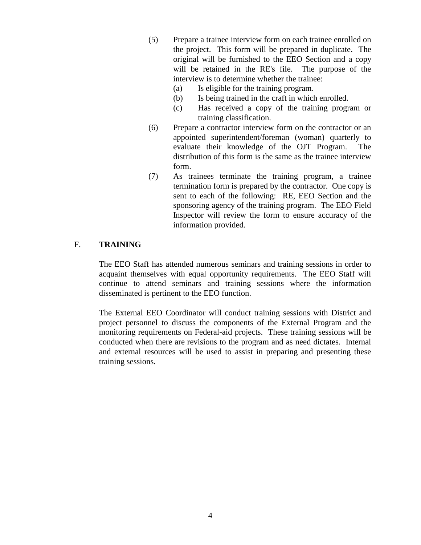- (5) Prepare a trainee interview form on each trainee enrolled on the project. This form will be prepared in duplicate. The original will be furnished to the EEO Section and a copy will be retained in the RE's file. The purpose of the interview is to determine whether the trainee:
	- (a) Is eligible for the training program.
	- (b) Is being trained in the craft in which enrolled.
	- (c) Has received a copy of the training program or training classification.
- (6) Prepare a contractor interview form on the contractor or an appointed superintendent/foreman (woman) quarterly to evaluate their knowledge of the OJT Program. The distribution of this form is the same as the trainee interview form.
- (7) As trainees terminate the training program, a trainee termination form is prepared by the contractor. One copy is sent to each of the following: RE, EEO Section and the sponsoring agency of the training program. The EEO Field Inspector will review the form to ensure accuracy of the information provided.

#### F. **TRAINING**

The EEO Staff has attended numerous seminars and training sessions in order to acquaint themselves with equal opportunity requirements. The EEO Staff will continue to attend seminars and training sessions where the information disseminated is pertinent to the EEO function.

The External EEO Coordinator will conduct training sessions with District and project personnel to discuss the components of the External Program and the monitoring requirements on Federal-aid projects. These training sessions will be conducted when there are revisions to the program and as need dictates. Internal and external resources will be used to assist in preparing and presenting these training sessions.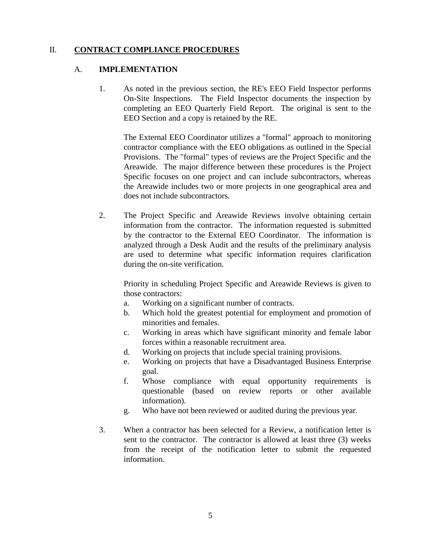## II. **CONTRACT COMPLIANCE PROCEDURES**

#### A. **IMPLEMENTATION**

1. As noted in the previous section, the RE's EEO Field Inspector performs On-Site Inspections. The Field Inspector documents the inspection by completing an EEO Quarterly Field Report. The original is sent to the EEO Section and a copy is retained by the RE.

The External EEO Coordinator utilizes a "formal" approach to monitoring contractor compliance with the EEO obligations as outlined in the Special Provisions. The "formal" types of reviews are the Project Specific and the Areawide. The major difference between these procedures is the Project Specific focuses on one project and can include subcontractors, whereas the Areawide includes two or more projects in one geographical area and does not include subcontractors.

2. The Project Specific and Areawide Reviews involve obtaining certain information from the contractor. The information requested is submitted by the contractor to the External EEO Coordinator. The information is analyzed through a Desk Audit and the results of the preliminary analysis are used to determine what specific information requires clarification during the on-site verification.

Priority in scheduling Project Specific and Areawide Reviews is given to those contractors:

- a. Working on a significant number of contracts.
- b. Which hold the greatest potential for employment and promotion of minorities and females.
- c. Working in areas which have significant minority and female labor forces within a reasonable recruitment area.
- d. Working on projects that include special training provisions.
- e. Working on projects that have a Disadvantaged Business Enterprise goal.
- f. Whose compliance with equal opportunity requirements is questionable (based on review reports or other available information).
- g. Who have not been reviewed or audited during the previous year.
- 3. When a contractor has been selected for a Review, a notification letter is sent to the contractor. The contractor is allowed at least three (3) weeks from the receipt of the notification letter to submit the requested information.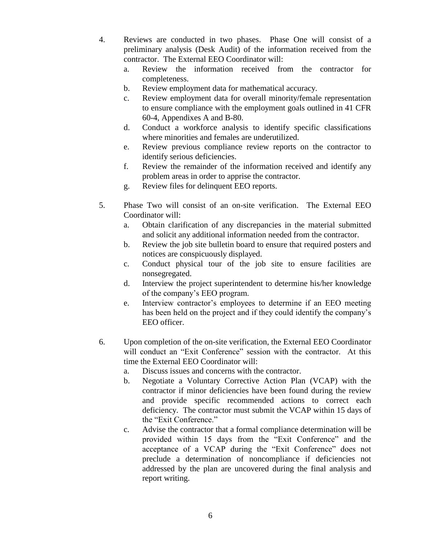- 4. Reviews are conducted in two phases. Phase One will consist of a preliminary analysis (Desk Audit) of the information received from the contractor. The External EEO Coordinator will:
	- a. Review the information received from the contractor for completeness.
	- b. Review employment data for mathematical accuracy.
	- c. Review employment data for overall minority/female representation to ensure compliance with the employment goals outlined in 41 CFR 60-4, Appendixes A and B-80.
	- d. Conduct a workforce analysis to identify specific classifications where minorities and females are underutilized.
	- e. Review previous compliance review reports on the contractor to identify serious deficiencies.
	- f. Review the remainder of the information received and identify any problem areas in order to apprise the contractor.
	- g. Review files for delinquent EEO reports.
- 5. Phase Two will consist of an on-site verification. The External EEO Coordinator will:
	- a. Obtain clarification of any discrepancies in the material submitted and solicit any additional information needed from the contractor.
	- b. Review the job site bulletin board to ensure that required posters and notices are conspicuously displayed.
	- c. Conduct physical tour of the job site to ensure facilities are nonsegregated.
	- d. Interview the project superintendent to determine his/her knowledge of the company's EEO program.
	- e. Interview contractor's employees to determine if an EEO meeting has been held on the project and if they could identify the company's EEO officer.
- 6. Upon completion of the on-site verification, the External EEO Coordinator will conduct an "Exit Conference" session with the contractor. At this time the External EEO Coordinator will:
	- a. Discuss issues and concerns with the contractor.
	- b. Negotiate a Voluntary Corrective Action Plan (VCAP) with the contractor if minor deficiencies have been found during the review and provide specific recommended actions to correct each deficiency. The contractor must submit the VCAP within 15 days of the "Exit Conference."
	- c. Advise the contractor that a formal compliance determination will be provided within 15 days from the "Exit Conference" and the acceptance of a VCAP during the "Exit Conference" does not preclude a determination of noncompliance if deficiencies not addressed by the plan are uncovered during the final analysis and report writing.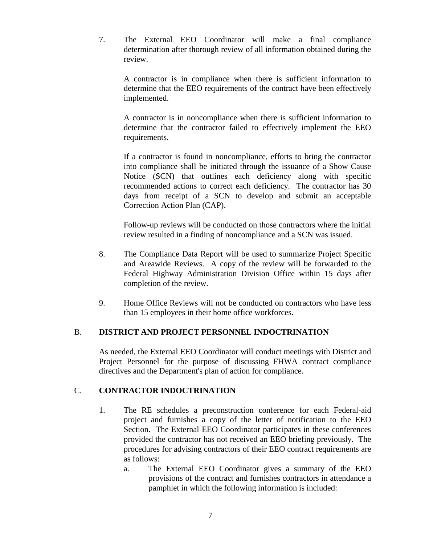7. The External EEO Coordinator will make a final compliance determination after thorough review of all information obtained during the review.

A contractor is in compliance when there is sufficient information to determine that the EEO requirements of the contract have been effectively implemented.

A contractor is in noncompliance when there is sufficient information to determine that the contractor failed to effectively implement the EEO requirements.

If a contractor is found in noncompliance, efforts to bring the contractor into compliance shall be initiated through the issuance of a Show Cause Notice (SCN) that outlines each deficiency along with specific recommended actions to correct each deficiency. The contractor has 30 days from receipt of a SCN to develop and submit an acceptable Correction Action Plan (CAP).

Follow-up reviews will be conducted on those contractors where the initial review resulted in a finding of noncompliance and a SCN was issued.

- 8. The Compliance Data Report will be used to summarize Project Specific and Areawide Reviews. A copy of the review will be forwarded to the Federal Highway Administration Division Office within 15 days after completion of the review.
- 9. Home Office Reviews will not be conducted on contractors who have less than 15 employees in their home office workforces.

## B. **DISTRICT AND PROJECT PERSONNEL INDOCTRINATION**

As needed, the External EEO Coordinator will conduct meetings with District and Project Personnel for the purpose of discussing FHWA contract compliance directives and the Department's plan of action for compliance.

## C. **CONTRACTOR INDOCTRINATION**

- 1. The RE schedules a preconstruction conference for each Federal-aid project and furnishes a copy of the letter of notification to the EEO Section. The External EEO Coordinator participates in these conferences provided the contractor has not received an EEO briefing previously. The procedures for advising contractors of their EEO contract requirements are as follows:
	- a. The External EEO Coordinator gives a summary of the EEO provisions of the contract and furnishes contractors in attendance a pamphlet in which the following information is included: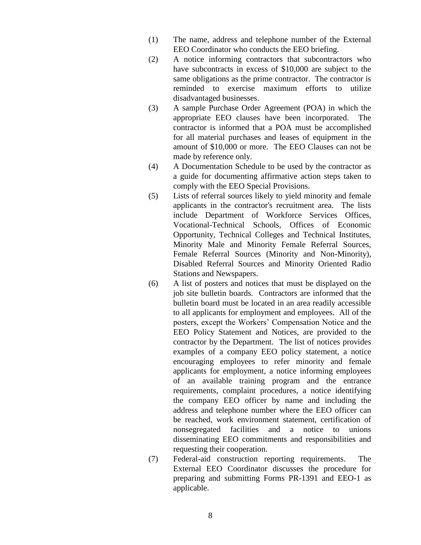- (1) The name, address and telephone number of the External EEO Coordinator who conducts the EEO briefing.
- (2) A notice informing contractors that subcontractors who have subcontracts in excess of \$10,000 are subject to the same obligations as the prime contractor. The contractor is reminded to exercise maximum efforts to utilize disadvantaged businesses.
- (3) A sample Purchase Order Agreement (POA) in which the appropriate EEO clauses have been incorporated. The contractor is informed that a POA must be accomplished for all material purchases and leases of equipment in the amount of \$10,000 or more. The EEO Clauses can not be made by reference only.
- (4) A Documentation Schedule to be used by the contractor as a guide for documenting affirmative action steps taken to comply with the EEO Special Provisions.
- (5) Lists of referral sources likely to yield minority and female applicants in the contractor's recruitment area. The lists include Department of Workforce Services Offices, Vocational-Technical Schools, Offices of Economic Opportunity, Technical Colleges and Technical Institutes, Minority Male and Minority Female Referral Sources, Female Referral Sources (Minority and Non-Minority), Disabled Referral Sources and Minority Oriented Radio Stations and Newspapers.
- (6) A list of posters and notices that must be displayed on the job site bulletin boards. Contractors are informed that the bulletin board must be located in an area readily accessible to all applicants for employment and employees. All of the posters, except the Workers' Compensation Notice and the EEO Policy Statement and Notices, are provided to the contractor by the Department. The list of notices provides examples of a company EEO policy statement, a notice encouraging employees to refer minority and female applicants for employment, a notice informing employees of an available training program and the entrance requirements, complaint procedures, a notice identifying the company EEO officer by name and including the address and telephone number where the EEO officer can be reached, work environment statement, certification of nonsegregated facilities and a notice to unions disseminating EEO commitments and responsibilities and requesting their cooperation.
- (7) Federal-aid construction reporting requirements. The External EEO Coordinator discusses the procedure for preparing and submitting Forms PR-1391 and EEO-1 as applicable.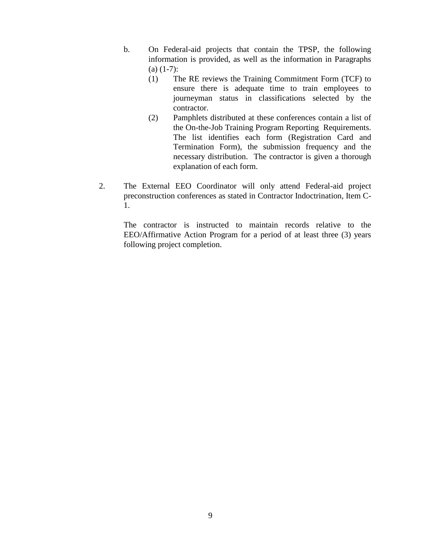- b. On Federal-aid projects that contain the TPSP, the following information is provided, as well as the information in Paragraphs  $(a)$  (1-7):
	- (1) The RE reviews the Training Commitment Form (TCF) to ensure there is adequate time to train employees to journeyman status in classifications selected by the contractor.
	- (2) Pamphlets distributed at these conferences contain a list of the On-the-Job Training Program Reporting Requirements. The list identifies each form (Registration Card and Termination Form), the submission frequency and the necessary distribution. The contractor is given a thorough explanation of each form.
- 2. The External EEO Coordinator will only attend Federal-aid project preconstruction conferences as stated in Contractor Indoctrination, Item C-1.

The contractor is instructed to maintain records relative to the EEO/Affirmative Action Program for a period of at least three (3) years following project completion.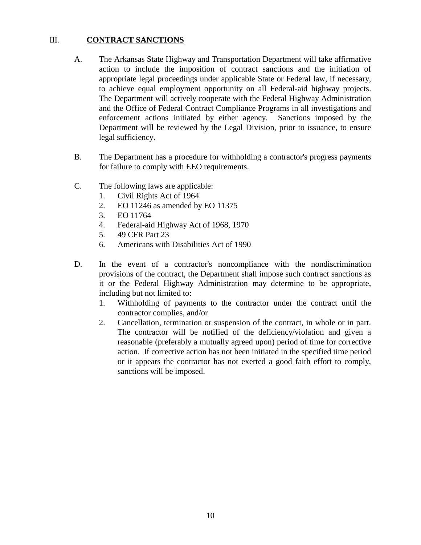## III. **CONTRACT SANCTIONS**

- A. The Arkansas State Highway and Transportation Department will take affirmative action to include the imposition of contract sanctions and the initiation of appropriate legal proceedings under applicable State or Federal law, if necessary, to achieve equal employment opportunity on all Federal-aid highway projects. The Department will actively cooperate with the Federal Highway Administration and the Office of Federal Contract Compliance Programs in all investigations and enforcement actions initiated by either agency. Sanctions imposed by the Department will be reviewed by the Legal Division, prior to issuance, to ensure legal sufficiency.
- B. The Department has a procedure for withholding a contractor's progress payments for failure to comply with EEO requirements.
- C. The following laws are applicable:
	- 1. Civil Rights Act of 1964
	- 2. EO 11246 as amended by EO 11375
	- 3. EO 11764
	- 4. Federal-aid Highway Act of 1968, 1970
	- 5. 49 CFR Part 23
	- 6. Americans with Disabilities Act of 1990
- D. In the event of a contractor's noncompliance with the nondiscrimination provisions of the contract, the Department shall impose such contract sanctions as it or the Federal Highway Administration may determine to be appropriate, including but not limited to:
	- 1. Withholding of payments to the contractor under the contract until the contractor complies, and/or
	- 2. Cancellation, termination or suspension of the contract, in whole or in part. The contractor will be notified of the deficiency/violation and given a reasonable (preferably a mutually agreed upon) period of time for corrective action. If corrective action has not been initiated in the specified time period or it appears the contractor has not exerted a good faith effort to comply, sanctions will be imposed.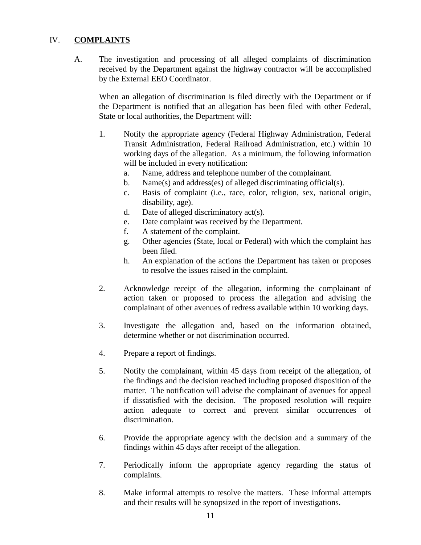## IV. **COMPLAINTS**

A. The investigation and processing of all alleged complaints of discrimination received by the Department against the highway contractor will be accomplished by the External EEO Coordinator.

When an allegation of discrimination is filed directly with the Department or if the Department is notified that an allegation has been filed with other Federal, State or local authorities, the Department will:

- 1. Notify the appropriate agency (Federal Highway Administration, Federal Transit Administration, Federal Railroad Administration, etc.) within 10 working days of the allegation. As a minimum, the following information will be included in every notification:
	- a. Name, address and telephone number of the complainant.
	- b. Name(s) and address(es) of alleged discriminating official(s).
	- c. Basis of complaint (i.e., race, color, religion, sex, national origin, disability, age).
	- d. Date of alleged discriminatory act(s).
	- e. Date complaint was received by the Department.
	- f. A statement of the complaint.
	- g. Other agencies (State, local or Federal) with which the complaint has been filed.
	- h. An explanation of the actions the Department has taken or proposes to resolve the issues raised in the complaint.
- 2. Acknowledge receipt of the allegation, informing the complainant of action taken or proposed to process the allegation and advising the complainant of other avenues of redress available within 10 working days.
- 3. Investigate the allegation and, based on the information obtained, determine whether or not discrimination occurred.
- 4. Prepare a report of findings.
- 5. Notify the complainant, within 45 days from receipt of the allegation, of the findings and the decision reached including proposed disposition of the matter. The notification will advise the complainant of avenues for appeal if dissatisfied with the decision. The proposed resolution will require action adequate to correct and prevent similar occurrences of discrimination.
- 6. Provide the appropriate agency with the decision and a summary of the findings within 45 days after receipt of the allegation.
- 7. Periodically inform the appropriate agency regarding the status of complaints.
- 8. Make informal attempts to resolve the matters. These informal attempts and their results will be synopsized in the report of investigations.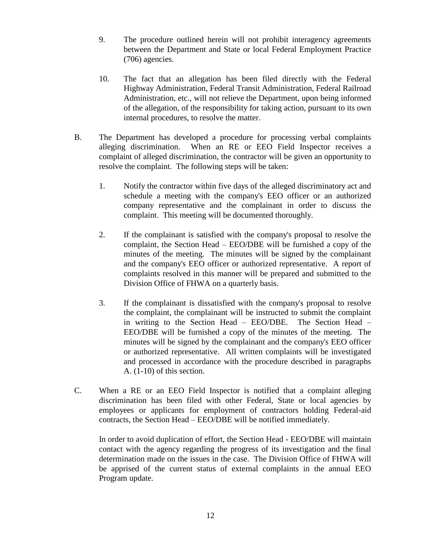- 9. The procedure outlined herein will not prohibit interagency agreements between the Department and State or local Federal Employment Practice (706) agencies.
- 10. The fact that an allegation has been filed directly with the Federal Highway Administration, Federal Transit Administration, Federal Railroad Administration, etc., will not relieve the Department, upon being informed of the allegation, of the responsibility for taking action, pursuant to its own internal procedures, to resolve the matter.
- B. The Department has developed a procedure for processing verbal complaints alleging discrimination. When an RE or EEO Field Inspector receives a complaint of alleged discrimination, the contractor will be given an opportunity to resolve the complaint. The following steps will be taken:
	- 1. Notify the contractor within five days of the alleged discriminatory act and schedule a meeting with the company's EEO officer or an authorized company representative and the complainant in order to discuss the complaint. This meeting will be documented thoroughly.
	- 2. If the complainant is satisfied with the company's proposal to resolve the complaint, the Section Head – EEO/DBE will be furnished a copy of the minutes of the meeting. The minutes will be signed by the complainant and the company's EEO officer or authorized representative. A report of complaints resolved in this manner will be prepared and submitted to the Division Office of FHWA on a quarterly basis.
	- 3. If the complainant is dissatisfied with the company's proposal to resolve the complaint, the complainant will be instructed to submit the complaint in writing to the Section Head – EEO/DBE. The Section Head – EEO/DBE will be furnished a copy of the minutes of the meeting. The minutes will be signed by the complainant and the company's EEO officer or authorized representative. All written complaints will be investigated and processed in accordance with the procedure described in paragraphs A. (1-10) of this section.
- C. When a RE or an EEO Field Inspector is notified that a complaint alleging discrimination has been filed with other Federal, State or local agencies by employees or applicants for employment of contractors holding Federal-aid contracts, the Section Head – EEO/DBE will be notified immediately.

In order to avoid duplication of effort, the Section Head - EEO/DBE will maintain contact with the agency regarding the progress of its investigation and the final determination made on the issues in the case. The Division Office of FHWA will be apprised of the current status of external complaints in the annual EEO Program update.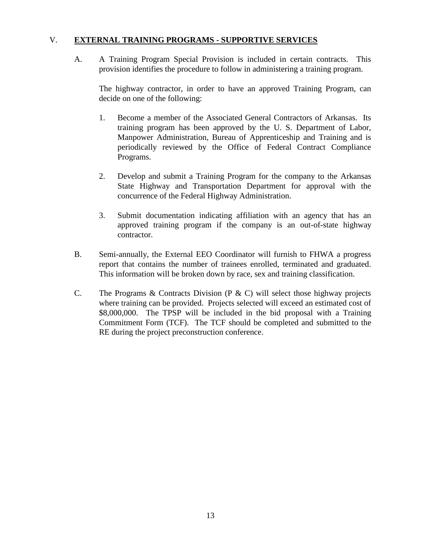## V. **EXTERNAL TRAINING PROGRAMS - SUPPORTIVE SERVICES**

A. A Training Program Special Provision is included in certain contracts. This provision identifies the procedure to follow in administering a training program.

The highway contractor, in order to have an approved Training Program, can decide on one of the following:

- 1. Become a member of the Associated General Contractors of Arkansas. Its training program has been approved by the U. S. Department of Labor, Manpower Administration, Bureau of Apprenticeship and Training and is periodically reviewed by the Office of Federal Contract Compliance Programs.
- 2. Develop and submit a Training Program for the company to the Arkansas State Highway and Transportation Department for approval with the concurrence of the Federal Highway Administration.
- 3. Submit documentation indicating affiliation with an agency that has an approved training program if the company is an out-of-state highway contractor.
- B. Semi-annually, the External EEO Coordinator will furnish to FHWA a progress report that contains the number of trainees enrolled, terminated and graduated. This information will be broken down by race, sex and training classification.
- C. The Programs & Contracts Division (P & C) will select those highway projects where training can be provided. Projects selected will exceed an estimated cost of \$8,000,000. The TPSP will be included in the bid proposal with a Training Commitment Form (TCF). The TCF should be completed and submitted to the RE during the project preconstruction conference.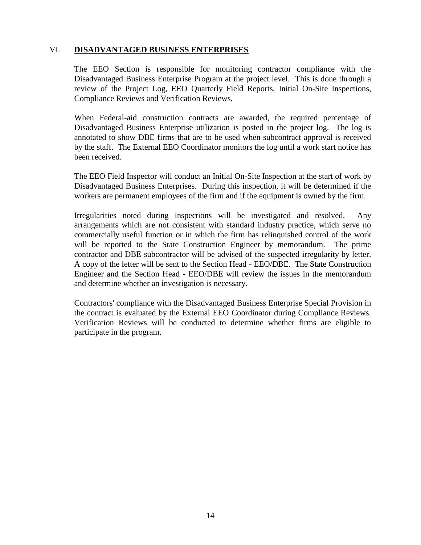#### VI. **DISADVANTAGED BUSINESS ENTERPRISES**

The EEO Section is responsible for monitoring contractor compliance with the Disadvantaged Business Enterprise Program at the project level. This is done through a review of the Project Log, EEO Quarterly Field Reports, Initial On-Site Inspections, Compliance Reviews and Verification Reviews.

When Federal-aid construction contracts are awarded, the required percentage of Disadvantaged Business Enterprise utilization is posted in the project log. The log is annotated to show DBE firms that are to be used when subcontract approval is received by the staff. The External EEO Coordinator monitors the log until a work start notice has been received.

The EEO Field Inspector will conduct an Initial On-Site Inspection at the start of work by Disadvantaged Business Enterprises. During this inspection, it will be determined if the workers are permanent employees of the firm and if the equipment is owned by the firm.

Irregularities noted during inspections will be investigated and resolved. Any arrangements which are not consistent with standard industry practice, which serve no commercially useful function or in which the firm has relinquished control of the work will be reported to the State Construction Engineer by memorandum. The prime contractor and DBE subcontractor will be advised of the suspected irregularity by letter. A copy of the letter will be sent to the Section Head - EEO/DBE. The State Construction Engineer and the Section Head - EEO/DBE will review the issues in the memorandum and determine whether an investigation is necessary.

Contractors' compliance with the Disadvantaged Business Enterprise Special Provision in the contract is evaluated by the External EEO Coordinator during Compliance Reviews. Verification Reviews will be conducted to determine whether firms are eligible to participate in the program.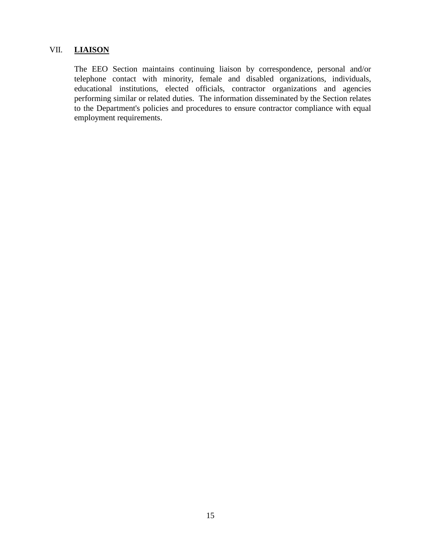## VII. **LIAISON**

The EEO Section maintains continuing liaison by correspondence, personal and/or telephone contact with minority, female and disabled organizations, individuals, educational institutions, elected officials, contractor organizations and agencies performing similar or related duties. The information disseminated by the Section relates to the Department's policies and procedures to ensure contractor compliance with equal employment requirements.